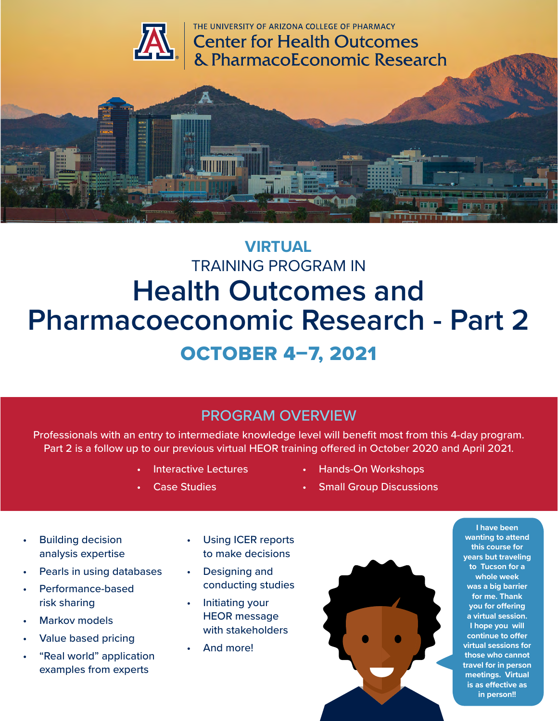



# **VIRTUAL** TRAINING PROGRAM IN **Health Outcomes and Pharmacoeconomic Research - Part 2** OCTOBER 4–7, 2021

## PROGRAM OVERVIEW

Professionals with an entry to intermediate knowledge level will benefit most from this 4-day program. Part 2 is a follow up to our previous virtual HEOR training offered in October 2020 and April 2021.

- **Interactive Lectures**
- **Case Studies**
- Hands-On Workshops
- **Small Group Discussions**

- Building decision analysis expertise
- Pearls in using databases
- Performance-based risk sharing
- **Markov models**
- Value based pricing
- "Real world" application examples from experts
- Using ICER reports to make decisions
- Designing and conducting studies
- Initiating your HEOR message with stakeholders
- And more!



**I have been wanting to attend this course for years but traveling to Tucson for a whole week was a big barrier for me. Thank you for offering a virtual session. I hope you will continue to offer virtual sessions for those who cannot travel for in person meetings. Virtual is as effective as in person!!**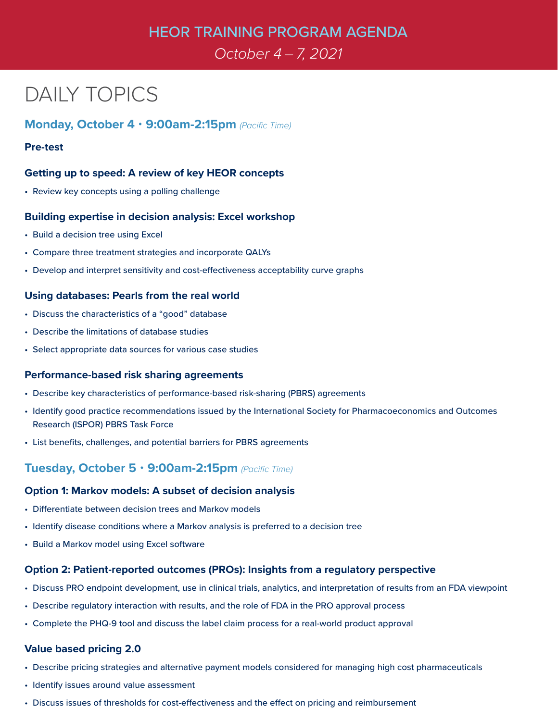## HEOR TRAINING PROGRAM AGENDA

## *October 4 – 7, 2021*

# DAILY TOPICS

### **Monday, October 4** • **9:00am-2:15pm** *(Pacific Time)*

#### **Pre-test**

#### **Getting up to speed: A review of key HEOR concepts**

• Review key concepts using a polling challenge

#### **Building expertise in decision analysis: Excel workshop**

- Build a decision tree using Excel
- Compare three treatment strategies and incorporate QALYs
- Develop and interpret sensitivity and cost-effectiveness acceptability curve graphs

#### **Using databases: Pearls from the real world**

- Discuss the characteristics of a "good" database
- Describe the limitations of database studies
- Select appropriate data sources for various case studies

#### **Performance-based risk sharing agreements**

- Describe key characteristics of performance-based risk-sharing (PBRS) agreements
- Identify good practice recommendations issued by the International Society for Pharmacoeconomics and Outcomes Research (ISPOR) PBRS Task Force
- List benefits, challenges, and potential barriers for PBRS agreements

### **Tuesday, October 5** • **9:00am-2:15pm** *(Pacific Time)*

#### **Option 1: Markov models: A subset of decision analysis**

- Differentiate between decision trees and Markov models
- Identify disease conditions where a Markov analysis is preferred to a decision tree
- Build a Markov model using Excel software

#### **Option 2: Patient-reported outcomes (PROs): Insights from a regulatory perspective**

- Discuss PRO endpoint development, use in clinical trials, analytics, and interpretation of results from an FDA viewpoint
- Describe regulatory interaction with results, and the role of FDA in the PRO approval process
- Complete the PHQ-9 tool and discuss the label claim process for a real-world product approval

#### **Value based pricing 2.0**

- Describe pricing strategies and alternative payment models considered for managing high cost pharmaceuticals
- Identify issues around value assessment
- Discuss issues of thresholds for cost-effectiveness and the effect on pricing and reimbursement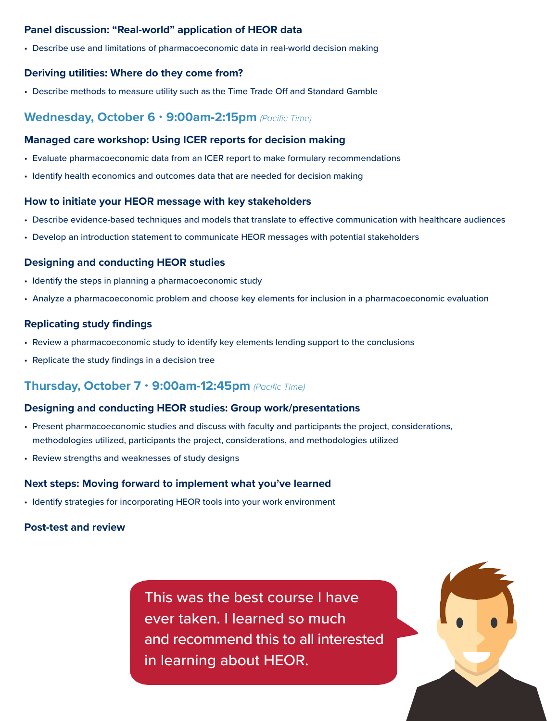#### **Panel discussion: "Real-world" application of HEOR data**

• Describe use and limitations of pharmacoeconomic data in real-world decision making

#### **Deriving utilities: Where do they come from?**

• Describe methods to measure utility such as the Time Trade Off and Standard Gamble

#### **Wednesday, October 6** • **9:00am-2:15pm** *(Pacific Time)*

#### **Managed care workshop: Using ICER reports for decision making**

- Evaluate pharmacoeconomic data from an ICER report to make formulary recommendations
- Identify health economics and outcomes data that are needed for decision making

#### **How to initiate your HEOR message with key stakeholders**

- Describe evidence-based techniques and models that translate to effective communication with healthcare audiences
- Develop an introduction statement to communicate HEOR messages with potential stakeholders

#### **Designing and conducting HEOR studies**

- Identify the steps in planning a pharmacoeconomic study
- Analyze a pharmacoeconomic problem and choose key elements for inclusion in a pharmacoeconomic evaluation

#### **Replicating study findings**

- Review a pharmacoeconomic study to identify key elements lending support to the conclusions
- Replicate the study findings in a decision tree

### **Thursday, October 7** • **9:00am-12:45pm** *(Pacific Time)*

#### **Designing and conducting HEOR studies: Group work/presentations**

- Present pharmacoeconomic studies and discuss with faculty and participants the project, considerations, methodologies utilized, participants the project, considerations, and methodologies utilized
- Review strengths and weaknesses of study designs

#### **Next steps: Moving forward to implement what you've learned**

• Identify strategies for incorporating HEOR tools into your work environment

#### **Post-test and review**

This was the best course I have ever taken. I learned so much and recommend this to all interested in learning about HEOR.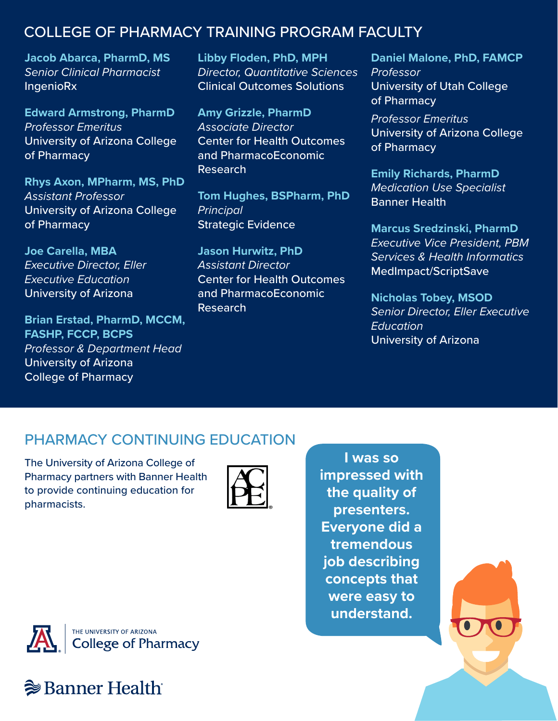## COLLEGE OF PHARMACY TRAINING PROGRAM FACULTY

**Jacob Abarca, PharmD, MS** *Senior Clinical Pharmacist*  **IngenioRx** 

**Edward Armstrong, PharmD** *Professor Emeritus*  University of Arizona College of Pharmacy

**Rhys Axon, MPharm, MS, PhD** *Assistant Professor* University of Arizona College of Pharmacy

**Joe Carella, MBA** *Executive Director, Eller Executive Education* University of Arizona

**Brian Erstad, PharmD, MCCM, FASHP, FCCP, BCPS** *Professor & Department Head*  University of Arizona College of Pharmacy

**Libby Floden, PhD, MPH** *Director, Quantitative Sciences* Clinical Outcomes Solutions

**Amy Grizzle, PharmD** *Associate Director*  Center for Health Outcomes and PharmacoEconomic Research

**Tom Hughes, BSPharm, PhD** *Principal* Strategic Evidence

**Jason Hurwitz, PhD** *Assistant Director* Center for Health Outcomes and PharmacoEconomic Research

**Daniel Malone, PhD, FAMCP** *Professor* University of Utah College of Pharmacy

*Professor Emeritus* University of Arizona College of Pharmacy

**Emily Richards, PharmD** *Medication Use Specialist* Banner Health

**Marcus Sredzinski, PharmD** *Executive Vice President, PBM Services & Health Informatics* MedImpact/ScriptSave

**Nicholas Tobey, MSOD** *Senior Director, Eller Executive Education* University of Arizona

# PHARMACY CONTINUING EDUCATION

The University of Arizona College of Pharmacy partners with Banner Health to provide continuing education for pharmacists.



**I was so impressed with the quality of presenters. Everyone did a tremendous job describing concepts that were easy to understand.**





# **<sup>→</sup> Banner Health**